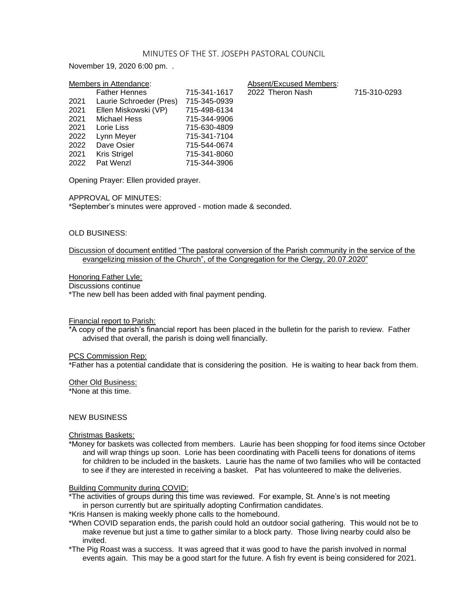#### MINUTES OF THE ST. JOSEPH PASTORAL COUNCIL

November 19, 2020 6:00 pm. .

| Members in Attendance: |                         |              | Absent/Excused Members: |              |
|------------------------|-------------------------|--------------|-------------------------|--------------|
|                        | <b>Father Hennes</b>    | 715-341-1617 | 2022 Theron Nash        | 715-310-0293 |
| 2021                   | Laurie Schroeder (Pres) | 715-345-0939 |                         |              |
| 2021                   | Ellen Miskowski (VP)    | 715-498-6134 |                         |              |
| 2021                   | Michael Hess            | 715-344-9906 |                         |              |
| 2021                   | Lorie Liss              | 715-630-4809 |                         |              |
| 2022                   | Lynn Meyer              | 715-341-7104 |                         |              |
| 2022                   | Dave Osier              | 715-544-0674 |                         |              |
| 2021                   | Kris Strigel            | 715-341-8060 |                         |              |
| 2022                   | Pat Wenzl               | 715-344-3906 |                         |              |

Opening Prayer: Ellen provided prayer.

APPROVAL OF MINUTES:

\*September's minutes were approved - motion made & seconded.

### OLD BUSINESS:

Discussion of document entitled "The pastoral conversion of the Parish community in the service of the evangelizing mission of the Church", of the Congregation for the Clergy, 20.07.2020"

Honoring Father Lyle:

Discussions continue

\*The new bell has been added with final payment pending.

#### Financial report to Parish:

\*A copy of the parish's financial report has been placed in the bulletin for the parish to review. Father advised that overall, the parish is doing well financially.

#### PCS Commission Rep:

\*Father has a potential candidate that is considering the position. He is waiting to hear back from them.

Other Old Business:

\*None at this time.

## NEW BUSINESS

#### Christmas Baskets:

\*Money for baskets was collected from members. Laurie has been shopping for food items since October and will wrap things up soon. Lorie has been coordinating with Pacelli teens for donations of items for children to be included in the baskets. Laurie has the name of two families who will be contacted to see if they are interested in receiving a basket. Pat has volunteered to make the deliveries.

#### Building Community during COVID:

\*The activities of groups during this time was reviewed. For example, St. Anne's is not meeting in person currently but are spiritually adopting Confirmation candidates.

\*Kris Hansen is making weekly phone calls to the homebound.

- \*When COVID separation ends, the parish could hold an outdoor social gathering. This would not be to make revenue but just a time to gather similar to a block party. Those living nearby could also be invited.
- \*The Pig Roast was a success. It was agreed that it was good to have the parish involved in normal events again. This may be a good start for the future. A fish fry event is being considered for 2021.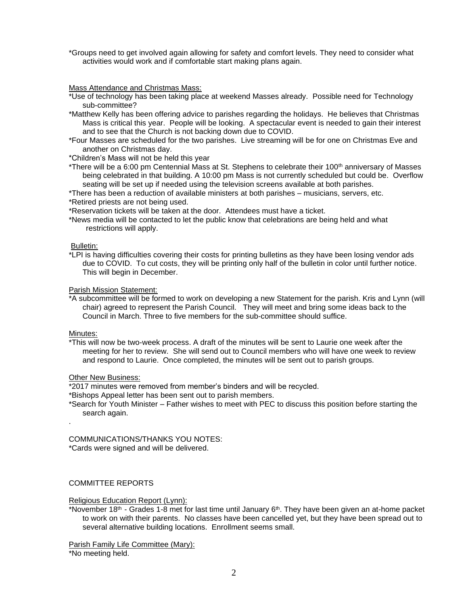\*Groups need to get involved again allowing for safety and comfort levels. They need to consider what activities would work and if comfortable start making plans again.

Mass Attendance and Christmas Mass:

- \*Use of technology has been taking place at weekend Masses already. Possible need for Technology sub-committee?
- \*Matthew Kelly has been offering advice to parishes regarding the holidays. He believes that Christmas Mass is critical this year. People will be looking. A spectacular event is needed to gain their interest and to see that the Church is not backing down due to COVID.
- \*Four Masses are scheduled for the two parishes. Live streaming will be for one on Christmas Eve and another on Christmas day.

\*Children's Mass will not be held this year

\*There will be a 6:00 pm Centennial Mass at St. Stephens to celebrate their 100<sup>th</sup> anniversary of Masses being celebrated in that building. A 10:00 pm Mass is not currently scheduled but could be. Overflow seating will be set up if needed using the television screens available at both parishes.

\*There has been a reduction of available ministers at both parishes – musicians, servers, etc.

\*Retired priests are not being used.

\*Reservation tickets will be taken at the door. Attendees must have a ticket.

\*News media will be contacted to let the public know that celebrations are being held and what restrictions will apply.

### Bulletin:

\*LPI is having difficulties covering their costs for printing bulletins as they have been losing vendor ads due to COVID. To cut costs, they will be printing only half of the bulletin in color until further notice. This will begin in December.

## Parish Mission Statement:

\*A subcommittee will be formed to work on developing a new Statement for the parish. Kris and Lynn (will chair) agreed to represent the Parish Council. They will meet and bring some ideas back to the Council in March. Three to five members for the sub-committee should suffice.

### Minutes:

.

\*This will now be two-week process. A draft of the minutes will be sent to Laurie one week after the meeting for her to review. She will send out to Council members who will have one week to review and respond to Laurie. Once completed, the minutes will be sent out to parish groups.

## Other New Business:

\*2017 minutes were removed from member's binders and will be recycled.

\*Bishops Appeal letter has been sent out to parish members.

\*Search for Youth Minister – Father wishes to meet with PEC to discuss this position before starting the search again.

COMMUNICATIONS/THANKS YOU NOTES: \*Cards were signed and will be delivered.

# COMMITTEE REPORTS

Religious Education Report (Lynn):

\*November 18th - Grades 1-8 met for last time until January 6th. They have been given an at-home packet to work on with their parents. No classes have been cancelled yet, but they have been spread out to several alternative building locations. Enrollment seems small.

Parish Family Life Committee (Mary): \*No meeting held.